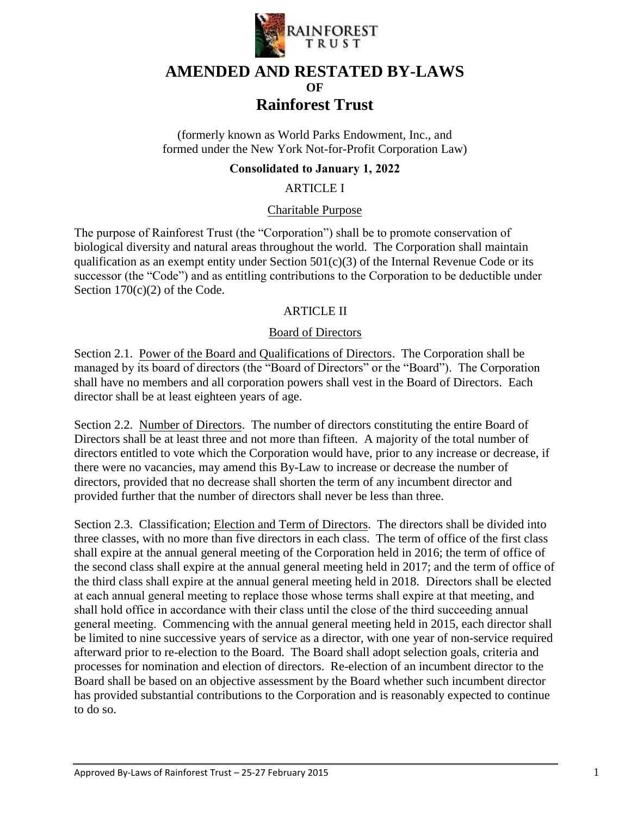

# **AMENDED AND RESTATED BY-LAWS OF Rainforest Trust**

(formerly known as World Parks Endowment, Inc., and formed under the New York Not-for-Profit Corporation Law)

## **Consolidated to January 1, 2022**

ARTICLE I

#### Charitable Purpose

The purpose of Rainforest Trust (the "Corporation") shall be to promote conservation of biological diversity and natural areas throughout the world. The Corporation shall maintain qualification as an exempt entity under Section  $501(c)(3)$  of the Internal Revenue Code or its successor (the "Code") and as entitling contributions to the Corporation to be deductible under Section 170(c)(2) of the Code.

## ARTICLE II

#### Board of Directors

Section 2.1. Power of the Board and Qualifications of Directors. The Corporation shall be managed by its board of directors (the "Board of Directors" or the "Board"). The Corporation shall have no members and all corporation powers shall vest in the Board of Directors. Each director shall be at least eighteen years of age.

Section 2.2. Number of Directors. The number of directors constituting the entire Board of Directors shall be at least three and not more than fifteen. A majority of the total number of directors entitled to vote which the Corporation would have, prior to any increase or decrease, if there were no vacancies, may amend this By-Law to increase or decrease the number of directors, provided that no decrease shall shorten the term of any incumbent director and provided further that the number of directors shall never be less than three.

Section 2.3. Classification; Election and Term of Directors. The directors shall be divided into three classes, with no more than five directors in each class. The term of office of the first class shall expire at the annual general meeting of the Corporation held in 2016; the term of office of the second class shall expire at the annual general meeting held in 2017; and the term of office of the third class shall expire at the annual general meeting held in 2018. Directors shall be elected at each annual general meeting to replace those whose terms shall expire at that meeting, and shall hold office in accordance with their class until the close of the third succeeding annual general meeting. Commencing with the annual general meeting held in 2015, each director shall be limited to nine successive years of service as a director, with one year of non-service required afterward prior to re-election to the Board. The Board shall adopt selection goals, criteria and processes for nomination and election of directors. Re-election of an incumbent director to the Board shall be based on an objective assessment by the Board whether such incumbent director has provided substantial contributions to the Corporation and is reasonably expected to continue to do so.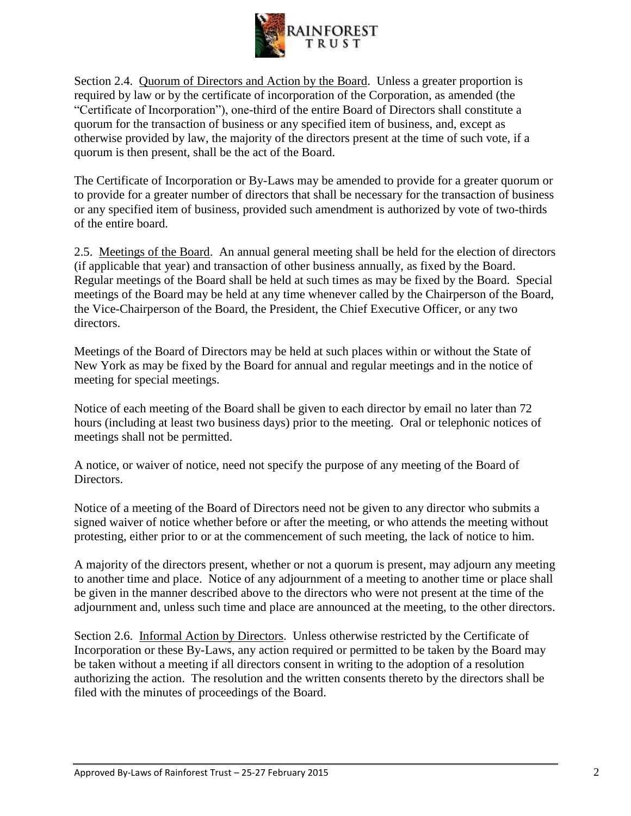

Section 2.4. Quorum of Directors and Action by the Board. Unless a greater proportion is required by law or by the certificate of incorporation of the Corporation, as amended (the "Certificate of Incorporation"), one-third of the entire Board of Directors shall constitute a quorum for the transaction of business or any specified item of business, and, except as otherwise provided by law, the majority of the directors present at the time of such vote, if a quorum is then present, shall be the act of the Board.

The Certificate of Incorporation or By-Laws may be amended to provide for a greater quorum or to provide for a greater number of directors that shall be necessary for the transaction of business or any specified item of business, provided such amendment is authorized by vote of two-thirds of the entire board.

2.5. Meetings of the Board. An annual general meeting shall be held for the election of directors (if applicable that year) and transaction of other business annually, as fixed by the Board. Regular meetings of the Board shall be held at such times as may be fixed by the Board. Special meetings of the Board may be held at any time whenever called by the Chairperson of the Board, the Vice-Chairperson of the Board, the President, the Chief Executive Officer, or any two directors.

Meetings of the Board of Directors may be held at such places within or without the State of New York as may be fixed by the Board for annual and regular meetings and in the notice of meeting for special meetings.

Notice of each meeting of the Board shall be given to each director by email no later than 72 hours (including at least two business days) prior to the meeting. Oral or telephonic notices of meetings shall not be permitted.

A notice, or waiver of notice, need not specify the purpose of any meeting of the Board of Directors.

Notice of a meeting of the Board of Directors need not be given to any director who submits a signed waiver of notice whether before or after the meeting, or who attends the meeting without protesting, either prior to or at the commencement of such meeting, the lack of notice to him.

A majority of the directors present, whether or not a quorum is present, may adjourn any meeting to another time and place. Notice of any adjournment of a meeting to another time or place shall be given in the manner described above to the directors who were not present at the time of the adjournment and, unless such time and place are announced at the meeting, to the other directors.

Section 2.6. Informal Action by Directors. Unless otherwise restricted by the Certificate of Incorporation or these By-Laws, any action required or permitted to be taken by the Board may be taken without a meeting if all directors consent in writing to the adoption of a resolution authorizing the action. The resolution and the written consents thereto by the directors shall be filed with the minutes of proceedings of the Board.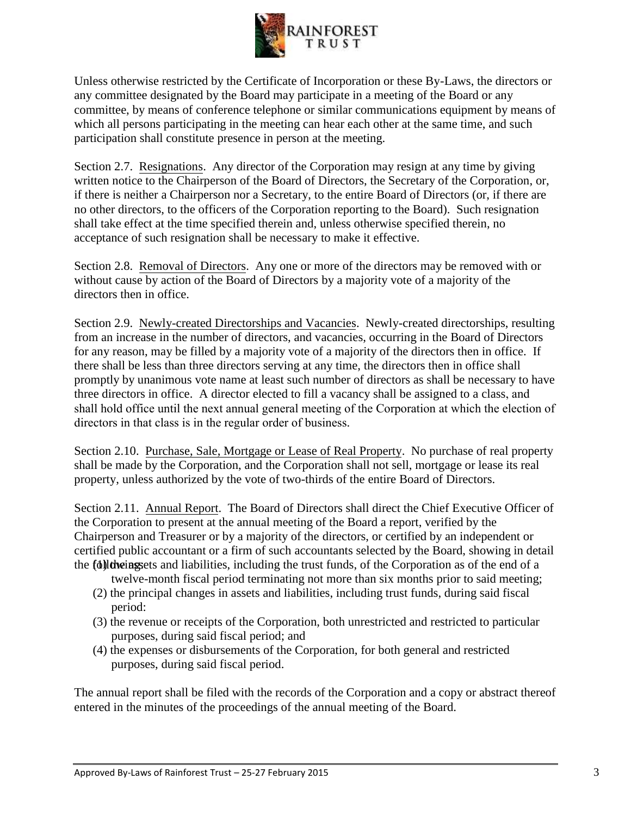

Unless otherwise restricted by the Certificate of Incorporation or these By-Laws, the directors or any committee designated by the Board may participate in a meeting of the Board or any committee, by means of conference telephone or similar communications equipment by means of which all persons participating in the meeting can hear each other at the same time, and such participation shall constitute presence in person at the meeting.

Section 2.7. Resignations. Any director of the Corporation may resign at any time by giving written notice to the Chairperson of the Board of Directors, the Secretary of the Corporation, or, if there is neither a Chairperson nor a Secretary, to the entire Board of Directors (or, if there are no other directors, to the officers of the Corporation reporting to the Board). Such resignation shall take effect at the time specified therein and, unless otherwise specified therein, no acceptance of such resignation shall be necessary to make it effective.

Section 2.8. Removal of Directors. Any one or more of the directors may be removed with or without cause by action of the Board of Directors by a majority vote of a majority of the directors then in office.

Section 2.9. Newly-created Directorships and Vacancies. Newly-created directorships, resulting from an increase in the number of directors, and vacancies, occurring in the Board of Directors for any reason, may be filled by a majority vote of a majority of the directors then in office. If there shall be less than three directors serving at any time, the directors then in office shall promptly by unanimous vote name at least such number of directors as shall be necessary to have three directors in office. A director elected to fill a vacancy shall be assigned to a class, and shall hold office until the next annual general meeting of the Corporation at which the election of directors in that class is in the regular order of business.

Section 2.10. Purchase, Sale, Mortgage or Lease of Real Property. No purchase of real property shall be made by the Corporation, and the Corporation shall not sell, mortgage or lease its real property, unless authorized by the vote of two-thirds of the entire Board of Directors.

Section 2.11. Annual Report. The Board of Directors shall direct the Chief Executive Officer of the Corporation to present at the annual meeting of the Board a report, verified by the Chairperson and Treasurer or by a majority of the directors, or certified by an independent or certified public accountant or a firm of such accountants selected by the Board, showing in detail the followings ts and liabilities, including the trust funds, of the Corporation as of the end of a

- twelve-month fiscal period terminating not more than six months prior to said meeting;
- (2) the principal changes in assets and liabilities, including trust funds, during said fiscal period:
- (3) the revenue or receipts of the Corporation, both unrestricted and restricted to particular purposes, during said fiscal period; and
- (4) the expenses or disbursements of the Corporation, for both general and restricted purposes, during said fiscal period.

The annual report shall be filed with the records of the Corporation and a copy or abstract thereof entered in the minutes of the proceedings of the annual meeting of the Board.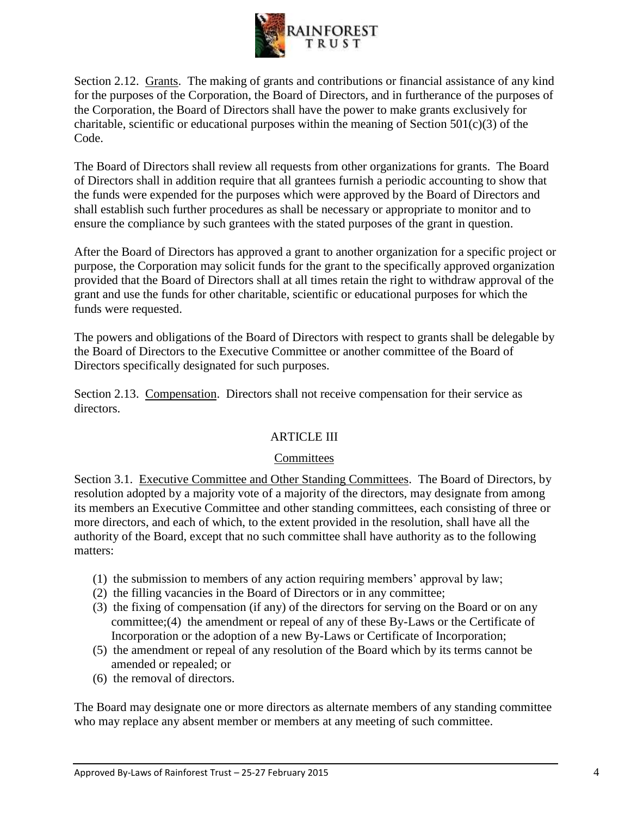

Section 2.12. Grants. The making of grants and contributions or financial assistance of any kind for the purposes of the Corporation, the Board of Directors, and in furtherance of the purposes of the Corporation, the Board of Directors shall have the power to make grants exclusively for charitable, scientific or educational purposes within the meaning of Section  $501(c)(3)$  of the Code.

The Board of Directors shall review all requests from other organizations for grants. The Board of Directors shall in addition require that all grantees furnish a periodic accounting to show that the funds were expended for the purposes which were approved by the Board of Directors and shall establish such further procedures as shall be necessary or appropriate to monitor and to ensure the compliance by such grantees with the stated purposes of the grant in question.

After the Board of Directors has approved a grant to another organization for a specific project or purpose, the Corporation may solicit funds for the grant to the specifically approved organization provided that the Board of Directors shall at all times retain the right to withdraw approval of the grant and use the funds for other charitable, scientific or educational purposes for which the funds were requested.

The powers and obligations of the Board of Directors with respect to grants shall be delegable by the Board of Directors to the Executive Committee or another committee of the Board of Directors specifically designated for such purposes.

Section 2.13. Compensation. Directors shall not receive compensation for their service as directors.

## ARTICLE III

## **Committees**

Section 3.1. Executive Committee and Other Standing Committees. The Board of Directors, by resolution adopted by a majority vote of a majority of the directors, may designate from among its members an Executive Committee and other standing committees, each consisting of three or more directors, and each of which, to the extent provided in the resolution, shall have all the authority of the Board, except that no such committee shall have authority as to the following matters:

- (1) the submission to members of any action requiring members' approval by law;
- (2) the filling vacancies in the Board of Directors or in any committee;
- (3) the fixing of compensation (if any) of the directors for serving on the Board or on any committee;(4) the amendment or repeal of any of these By-Laws or the Certificate of Incorporation or the adoption of a new By-Laws or Certificate of Incorporation;
- (5) the amendment or repeal of any resolution of the Board which by its terms cannot be amended or repealed; or
- (6) the removal of directors.

The Board may designate one or more directors as alternate members of any standing committee who may replace any absent member or members at any meeting of such committee.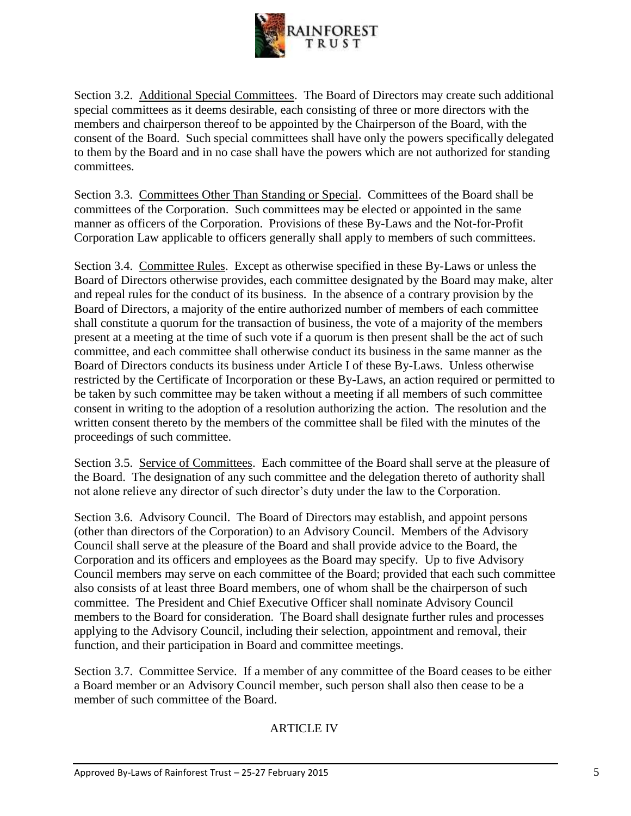

Section 3.2. Additional Special Committees. The Board of Directors may create such additional special committees as it deems desirable, each consisting of three or more directors with the members and chairperson thereof to be appointed by the Chairperson of the Board, with the consent of the Board. Such special committees shall have only the powers specifically delegated to them by the Board and in no case shall have the powers which are not authorized for standing committees.

Section 3.3. Committees Other Than Standing or Special. Committees of the Board shall be committees of the Corporation. Such committees may be elected or appointed in the same manner as officers of the Corporation. Provisions of these By-Laws and the Not-for-Profit Corporation Law applicable to officers generally shall apply to members of such committees.

Section 3.4. Committee Rules. Except as otherwise specified in these By-Laws or unless the Board of Directors otherwise provides, each committee designated by the Board may make, alter and repeal rules for the conduct of its business. In the absence of a contrary provision by the Board of Directors, a majority of the entire authorized number of members of each committee shall constitute a quorum for the transaction of business, the vote of a majority of the members present at a meeting at the time of such vote if a quorum is then present shall be the act of such committee, and each committee shall otherwise conduct its business in the same manner as the Board of Directors conducts its business under Article I of these By-Laws. Unless otherwise restricted by the Certificate of Incorporation or these By-Laws, an action required or permitted to be taken by such committee may be taken without a meeting if all members of such committee consent in writing to the adoption of a resolution authorizing the action. The resolution and the written consent thereto by the members of the committee shall be filed with the minutes of the proceedings of such committee.

Section 3.5. Service of Committees. Each committee of the Board shall serve at the pleasure of the Board. The designation of any such committee and the delegation thereto of authority shall not alone relieve any director of such director's duty under the law to the Corporation.

Section 3.6. Advisory Council. The Board of Directors may establish, and appoint persons (other than directors of the Corporation) to an Advisory Council. Members of the Advisory Council shall serve at the pleasure of the Board and shall provide advice to the Board, the Corporation and its officers and employees as the Board may specify. Up to five Advisory Council members may serve on each committee of the Board; provided that each such committee also consists of at least three Board members, one of whom shall be the chairperson of such committee. The President and Chief Executive Officer shall nominate Advisory Council members to the Board for consideration. The Board shall designate further rules and processes applying to the Advisory Council, including their selection, appointment and removal, their function, and their participation in Board and committee meetings.

Section 3.7. Committee Service. If a member of any committee of the Board ceases to be either a Board member or an Advisory Council member, such person shall also then cease to be a member of such committee of the Board.

## ARTICLE IV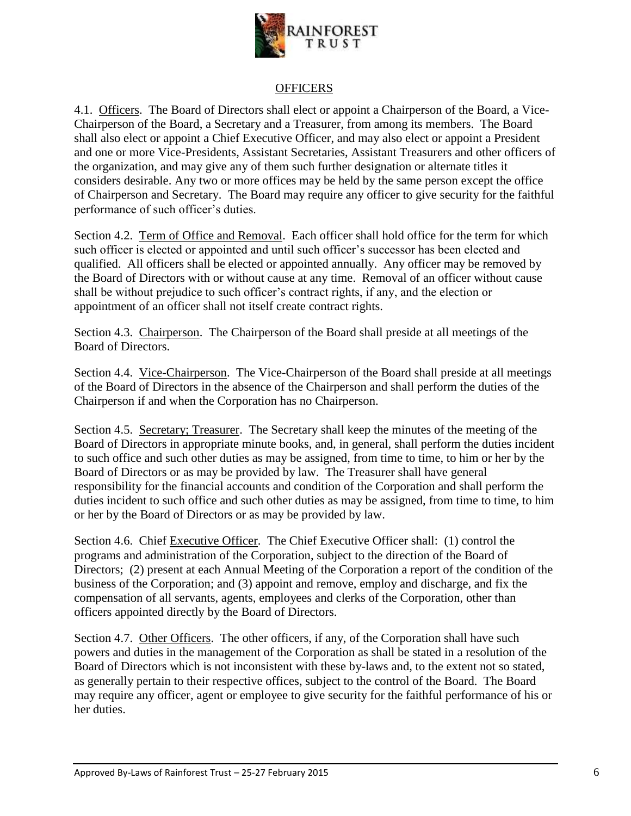

## **OFFICERS**

4.1. Officers. The Board of Directors shall elect or appoint a Chairperson of the Board, a Vice-Chairperson of the Board, a Secretary and a Treasurer, from among its members. The Board shall also elect or appoint a Chief Executive Officer, and may also elect or appoint a President and one or more Vice-Presidents, Assistant Secretaries, Assistant Treasurers and other officers of the organization, and may give any of them such further designation or alternate titles it considers desirable. Any two or more offices may be held by the same person except the office of Chairperson and Secretary. The Board may require any officer to give security for the faithful performance of such officer's duties.

Section 4.2. Term of Office and Removal. Each officer shall hold office for the term for which such officer is elected or appointed and until such officer's successor has been elected and qualified. All officers shall be elected or appointed annually. Any officer may be removed by the Board of Directors with or without cause at any time. Removal of an officer without cause shall be without prejudice to such officer's contract rights, if any, and the election or appointment of an officer shall not itself create contract rights.

Section 4.3. Chairperson. The Chairperson of the Board shall preside at all meetings of the Board of Directors.

Section 4.4. Vice-Chairperson. The Vice-Chairperson of the Board shall preside at all meetings of the Board of Directors in the absence of the Chairperson and shall perform the duties of the Chairperson if and when the Corporation has no Chairperson.

Section 4.5. Secretary; Treasurer. The Secretary shall keep the minutes of the meeting of the Board of Directors in appropriate minute books, and, in general, shall perform the duties incident to such office and such other duties as may be assigned, from time to time, to him or her by the Board of Directors or as may be provided by law. The Treasurer shall have general responsibility for the financial accounts and condition of the Corporation and shall perform the duties incident to such office and such other duties as may be assigned, from time to time, to him or her by the Board of Directors or as may be provided by law.

Section 4.6. Chief Executive Officer. The Chief Executive Officer shall: (1) control the programs and administration of the Corporation, subject to the direction of the Board of Directors; (2) present at each Annual Meeting of the Corporation a report of the condition of the business of the Corporation; and (3) appoint and remove, employ and discharge, and fix the compensation of all servants, agents, employees and clerks of the Corporation, other than officers appointed directly by the Board of Directors.

Section 4.7. Other Officers. The other officers, if any, of the Corporation shall have such powers and duties in the management of the Corporation as shall be stated in a resolution of the Board of Directors which is not inconsistent with these by-laws and, to the extent not so stated, as generally pertain to their respective offices, subject to the control of the Board. The Board may require any officer, agent or employee to give security for the faithful performance of his or her duties.